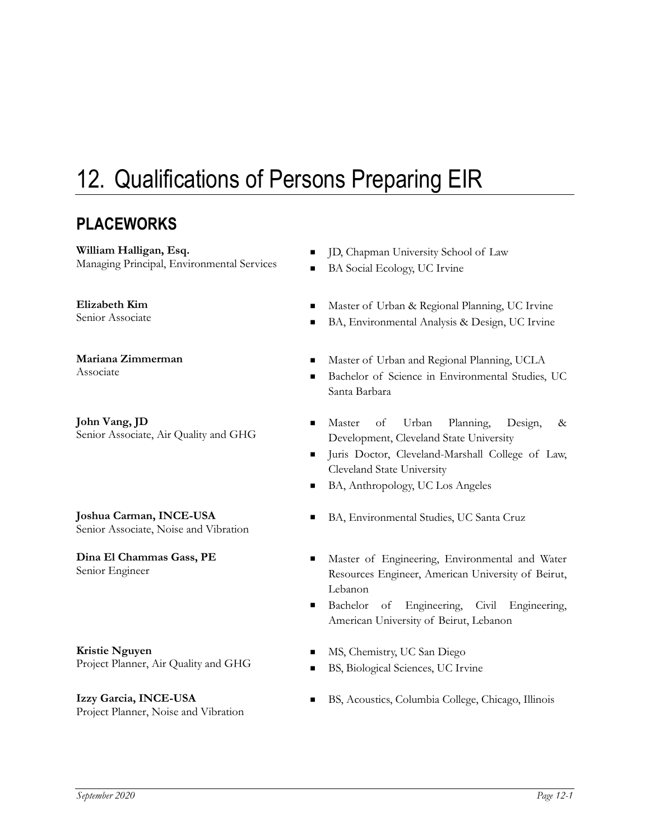## 12. Qualifications of Persons Preparing EIR

## **PLACEWORKS**

**William Halligan, Esq.**

## **Elizabeth Kim**

**Mariana Zimmerman**

**John Vang, JD**

**Joshua Carman, INCE-USA** Joshua Carman, INCE-USA<br>Senior Associate, Noise and Vibration **BA**, Environmental Studies, UC Santa Cruz

**Dina El Chammas Gass, PE**

**Kristie Nguyen Kristie Nguyen**<br>
Project Planner, Air Quality and GHG MS, Chemistry, UC San Diego<br>
RS, Biological Sciences, LLC Irv

**Izzy Garcia, INCE-USA** Izzy Garcia, INCE-USA BS, Acoustics, Columbia College, Chicago, Illinois<br>Project Planner, Noise and Vibration

- William Halligan, Esq.<br>
Managing Principal, Environmental Services **CALIFY ASSESS** BAS Social Ecology UC Isvine
	- BA Social Ecology, UC Irvine
- Elizabeth Kim<br>
Senior Associate 
Master of Urban & Regional Planning, UC Irvine<br>
Master of Urban & Regional Planning, UC Irvine
	- BA, Environmental Analysis & Design, UC Irvine
- Mariana Zimmerman<br>Associate **Master of Urban and Regional Planning, UCLA**<br>Rachelor of Science in Environmental Studies
	- Bachelor of Science in Environmental Studies, UC Santa Barbara
- John Vang, JD<br>
Senior Associate, Air Quality and GHG<br>
Development Cleveland State University Development, Cleveland State University
	- Juris Doctor, Cleveland-Marshall College of Law, Cleveland State University
	- BA, Anthropology, UC Los Angeles
	-
- **Dina El Chammas Gass, PE** Master of Engineering, Environmental and Water Senior Engineer<br>Resources Engineer American Howersity of Beirut Resources Engineer, American University of Beirut, Lebanon
	- Bachelor of Engineering, Civil Engineering, American University of Beirut, Lebanon
	-
	- BS, Biological Sciences, UC Irvine
	-